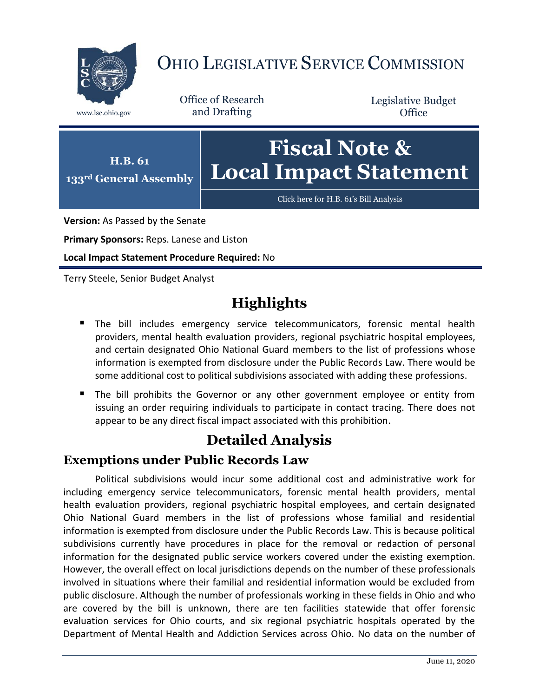

# OHIO LEGISLATIVE SERVICE COMMISSION

Office of Research www.lsc.ohio.gov and Drafting

Legislative Budget **Office** 



**Version:** As Passed by the Senate

**Primary Sponsors:** Reps. Lanese and Liston

**Local Impact Statement Procedure Required:** No

Terry Steele, Senior Budget Analyst

## **Highlights**

- The bill includes emergency service telecommunicators, forensic mental health providers, mental health evaluation providers, regional psychiatric hospital employees, and certain designated Ohio National Guard members to the list of professions whose information is exempted from disclosure under the Public Records Law. There would be some additional cost to political subdivisions associated with adding these professions.
- The bill prohibits the Governor or any other government employee or entity from issuing an order requiring individuals to participate in contact tracing. There does not appear to be any direct fiscal impact associated with this prohibition.

## **Detailed Analysis**

### **Exemptions under Public Records Law**

Political subdivisions would incur some additional cost and administrative work for including emergency service telecommunicators, forensic mental health providers, mental health evaluation providers, regional psychiatric hospital employees, and certain designated Ohio National Guard members in the list of professions whose familial and residential information is exempted from disclosure under the Public Records Law. This is because political subdivisions currently have procedures in place for the removal or redaction of personal information for the designated public service workers covered under the existing exemption. However, the overall effect on local jurisdictions depends on the number of these professionals involved in situations where their familial and residential information would be excluded from public disclosure. Although the number of professionals working in these fields in Ohio and who are covered by the bill is unknown, there are ten facilities statewide that offer forensic evaluation services for Ohio courts, and six regional psychiatric hospitals operated by the Department of Mental Health and Addiction Services across Ohio. No data on the number of